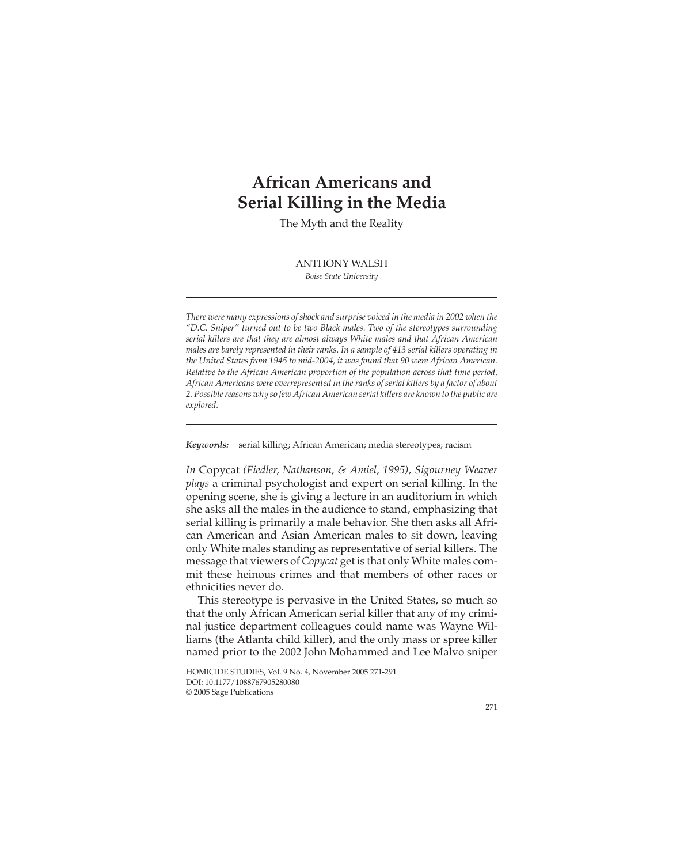# **African Americans and Serial Killing in the Media**

The Myth and the Reality

## ANTHONY WALSH

*Boise State University*

*There were many expressions of shock and surprise voiced in the media in 2002 when the "D.C. Sniper" turned out to be two Black males. Two of the stereotypes surrounding serial killers are that they are almost always White males and that African American males are barely represented in their ranks. In a sample of 413 serial killers operating in the United States from 1945 to mid-2004, it was found that 90 were African American. Relative to the African American proportion of the population across that time period, African Americans were overrepresented in the ranks of serial killers by a factor of about 2. Possible reasons why so few African American serial killers are known to the public are explored.*

*Keywords:* serial killing; African American; media stereotypes; racism

*In* Copycat *(Fiedler, Nathanson, & Amiel, 1995), Sigourney Weaver plays* a criminal psychologist and expert on serial killing. In the opening scene, she is giving a lecture in an auditorium in which she asks all the males in the audience to stand, emphasizing that serial killing is primarily a male behavior. She then asks all African American and Asian American males to sit down, leaving only White males standing as representative of serial killers. The message that viewers of *Copycat* get is that only White males commit these heinous crimes and that members of other races or ethnicities never do.

This stereotype is pervasive in the United States, so much so that the only African American serial killer that any of my criminal justice department colleagues could name was Wayne Williams (the Atlanta child killer), and the only mass or spree killer named prior to the 2002 John Mohammed and Lee Malvo sniper

HOMICIDE STUDIES, Vol. 9 No. 4, November 2005 271-291 DOI: 10.1177/1088767905280080 © 2005 Sage Publications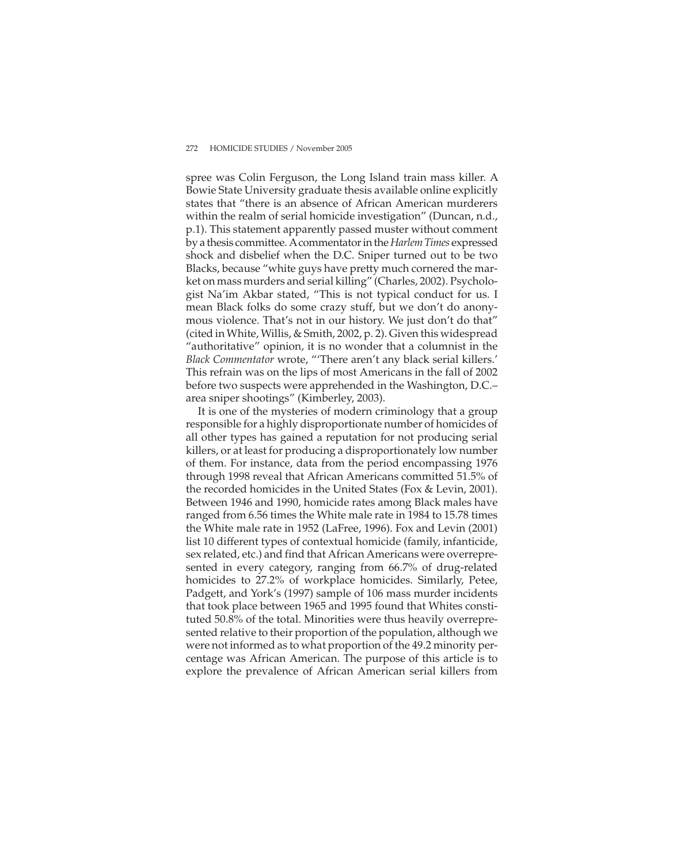spree was Colin Ferguson, the Long Island train mass killer. A Bowie State University graduate thesis available online explicitly states that "there is an absence of African American murderers within the realm of serial homicide investigation" (Duncan, n.d., p.1). This statement apparently passed muster without comment by a thesis committee. Acommentator in the*Harlem Times* expressed shock and disbelief when the D.C. Sniper turned out to be two Blacks, because "white guys have pretty much cornered the market on mass murders and serial killing" (Charles, 2002). Psychologist Na'im Akbar stated, "This is not typical conduct for us. I mean Black folks do some crazy stuff, but we don't do anonymous violence. That's not in our history. We just don't do that" (cited in White, Willis, & Smith, 2002, p. 2). Given this widespread "authoritative" opinion, it is no wonder that a columnist in the *Black Commentator* wrote, "'There aren't any black serial killers.' This refrain was on the lips of most Americans in the fall of 2002 before two suspects were apprehended in the Washington, D.C.– area sniper shootings" (Kimberley, 2003).

It is one of the mysteries of modern criminology that a group responsible for a highly disproportionate number of homicides of all other types has gained a reputation for not producing serial killers, or at least for producing a disproportionately low number of them. For instance, data from the period encompassing 1976 through 1998 reveal that African Americans committed 51.5% of the recorded homicides in the United States (Fox & Levin, 2001). Between 1946 and 1990, homicide rates among Black males have ranged from 6.56 times the White male rate in 1984 to 15.78 times the White male rate in 1952 (LaFree, 1996). Fox and Levin (2001) list 10 different types of contextual homicide (family, infanticide, sex related, etc.) and find that African Americans were overrepresented in every category, ranging from 66.7% of drug-related homicides to 27.2% of workplace homicides. Similarly, Petee, Padgett, and York's (1997) sample of 106 mass murder incidents that took place between 1965 and 1995 found that Whites constituted 50.8% of the total. Minorities were thus heavily overrepresented relative to their proportion of the population, although we were not informed as to what proportion of the 49.2 minority percentage was African American. The purpose of this article is to explore the prevalence of African American serial killers from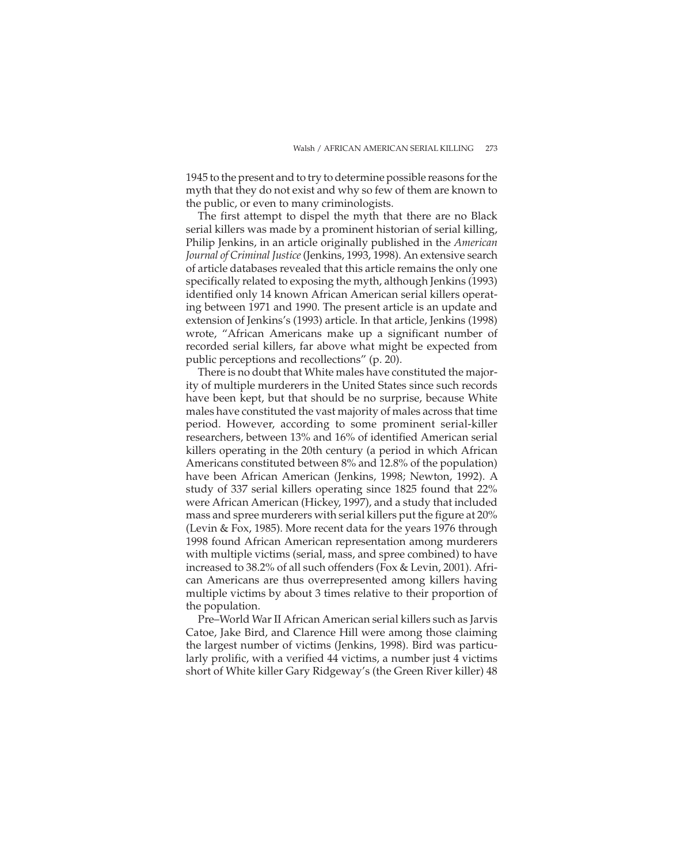1945 to the present and to try to determine possible reasons for the myth that they do not exist and why so few of them are known to the public, or even to many criminologists.

The first attempt to dispel the myth that there are no Black serial killers was made by a prominent historian of serial killing, Philip Jenkins, in an article originally published in the *American Journal of Criminal Justice* (Jenkins, 1993, 1998). An extensive search of article databases revealed that this article remains the only one specifically related to exposing the myth, although Jenkins (1993) identified only 14 known African American serial killers operating between 1971 and 1990. The present article is an update and extension of Jenkins's (1993) article. In that article, Jenkins (1998) wrote, "African Americans make up a significant number of recorded serial killers, far above what might be expected from public perceptions and recollections" (p. 20).

There is no doubt that White males have constituted the majority of multiple murderers in the United States since such records have been kept, but that should be no surprise, because White males have constituted the vast majority of males across that time period. However, according to some prominent serial-killer researchers, between 13% and 16% of identified American serial killers operating in the 20th century (a period in which African Americans constituted between 8% and 12.8% of the population) have been African American (Jenkins, 1998; Newton, 1992). A study of 337 serial killers operating since 1825 found that 22% were African American (Hickey, 1997), and a study that included mass and spree murderers with serial killers put the figure at 20% (Levin & Fox, 1985). More recent data for the years 1976 through 1998 found African American representation among murderers with multiple victims (serial, mass, and spree combined) to have increased to 38.2% of all such offenders (Fox & Levin, 2001). African Americans are thus overrepresented among killers having multiple victims by about 3 times relative to their proportion of the population.

Pre–World War II African American serial killers such as Jarvis Catoe, Jake Bird, and Clarence Hill were among those claiming the largest number of victims (Jenkins, 1998). Bird was particularly prolific, with a verified 44 victims, a number just 4 victims short of White killer Gary Ridgeway's (the Green River killer) 48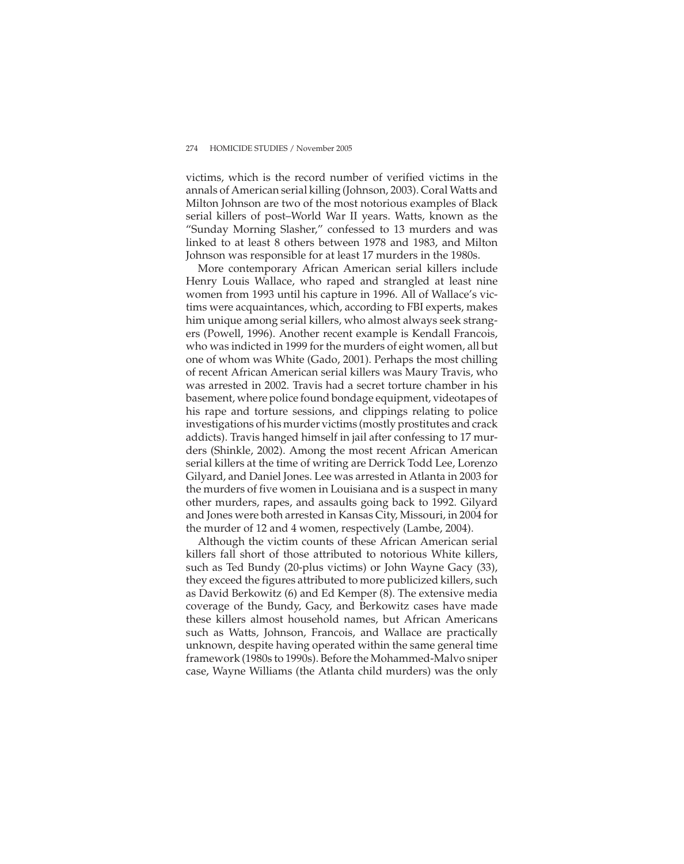victims, which is the record number of verified victims in the annals of American serial killing (Johnson, 2003). Coral Watts and Milton Johnson are two of the most notorious examples of Black serial killers of post–World War II years. Watts, known as the "Sunday Morning Slasher," confessed to 13 murders and was linked to at least 8 others between 1978 and 1983, and Milton Johnson was responsible for at least 17 murders in the 1980s.

More contemporary African American serial killers include Henry Louis Wallace, who raped and strangled at least nine women from 1993 until his capture in 1996. All of Wallace's victims were acquaintances, which, according to FBI experts, makes him unique among serial killers, who almost always seek strangers (Powell, 1996). Another recent example is Kendall Francois, who was indicted in 1999 for the murders of eight women, all but one of whom was White (Gado, 2001). Perhaps the most chilling of recent African American serial killers was Maury Travis, who was arrested in 2002. Travis had a secret torture chamber in his basement, where police found bondage equipment, videotapes of his rape and torture sessions, and clippings relating to police investigations of his murder victims (mostly prostitutes and crack addicts). Travis hanged himself in jail after confessing to 17 murders (Shinkle, 2002). Among the most recent African American serial killers at the time of writing are Derrick Todd Lee, Lorenzo Gilyard, and Daniel Jones. Lee was arrested in Atlanta in 2003 for the murders of five women in Louisiana and is a suspect in many other murders, rapes, and assaults going back to 1992. Gilyard and Jones were both arrested in Kansas City, Missouri, in 2004 for the murder of 12 and 4 women, respectively (Lambe, 2004).

Although the victim counts of these African American serial killers fall short of those attributed to notorious White killers, such as Ted Bundy (20-plus victims) or John Wayne Gacy (33), they exceed the figures attributed to more publicized killers, such as David Berkowitz (6) and Ed Kemper (8). The extensive media coverage of the Bundy, Gacy, and Berkowitz cases have made these killers almost household names, but African Americans such as Watts, Johnson, Francois, and Wallace are practically unknown, despite having operated within the same general time framework (1980s to 1990s). Before the Mohammed-Malvo sniper case, Wayne Williams (the Atlanta child murders) was the only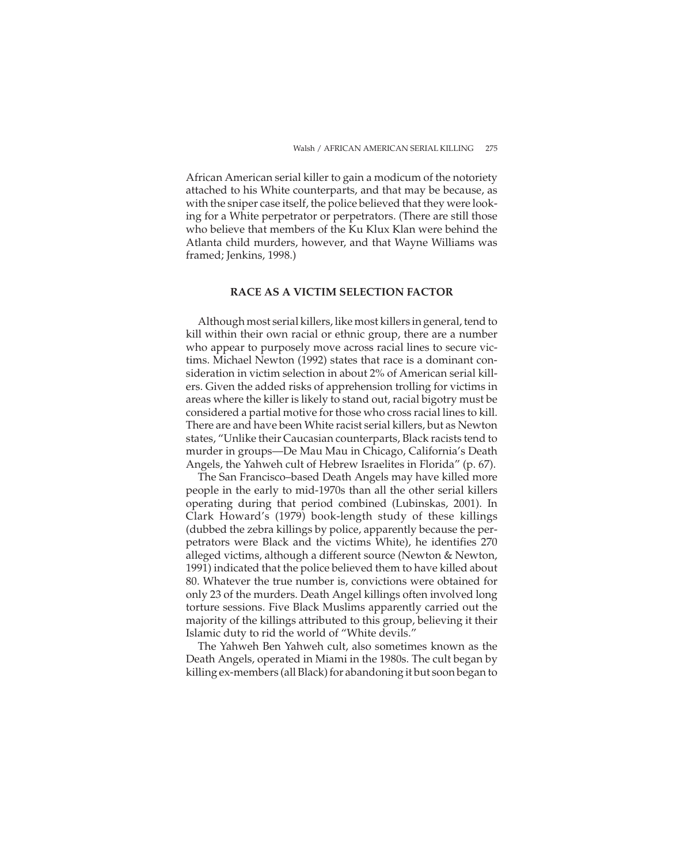African American serial killer to gain a modicum of the notoriety attached to his White counterparts, and that may be because, as with the sniper case itself, the police believed that they were looking for a White perpetrator or perpetrators. (There are still those who believe that members of the Ku Klux Klan were behind the Atlanta child murders, however, and that Wayne Williams was framed; Jenkins, 1998.)

## **RACE AS A VICTIM SELECTION FACTOR**

Although most serial killers, like most killers in general, tend to kill within their own racial or ethnic group, there are a number who appear to purposely move across racial lines to secure victims. Michael Newton (1992) states that race is a dominant consideration in victim selection in about 2% of American serial killers. Given the added risks of apprehension trolling for victims in areas where the killer is likely to stand out, racial bigotry must be considered a partial motive for those who cross racial lines to kill. There are and have been White racist serial killers, but as Newton states, "Unlike their Caucasian counterparts, Black racists tend to murder in groups—De Mau Mau in Chicago, California's Death Angels, the Yahweh cult of Hebrew Israelites in Florida" (p. 67).

The San Francisco–based Death Angels may have killed more people in the early to mid-1970s than all the other serial killers operating during that period combined (Lubinskas, 2001). In Clark Howard's (1979) book-length study of these killings (dubbed the zebra killings by police, apparently because the perpetrators were Black and the victims White), he identifies 270 alleged victims, although a different source (Newton & Newton, 1991) indicated that the police believed them to have killed about 80. Whatever the true number is, convictions were obtained for only 23 of the murders. Death Angel killings often involved long torture sessions. Five Black Muslims apparently carried out the majority of the killings attributed to this group, believing it their Islamic duty to rid the world of "White devils."

The Yahweh Ben Yahweh cult, also sometimes known as the Death Angels, operated in Miami in the 1980s. The cult began by killing ex-members (all Black) for abandoning it but soon began to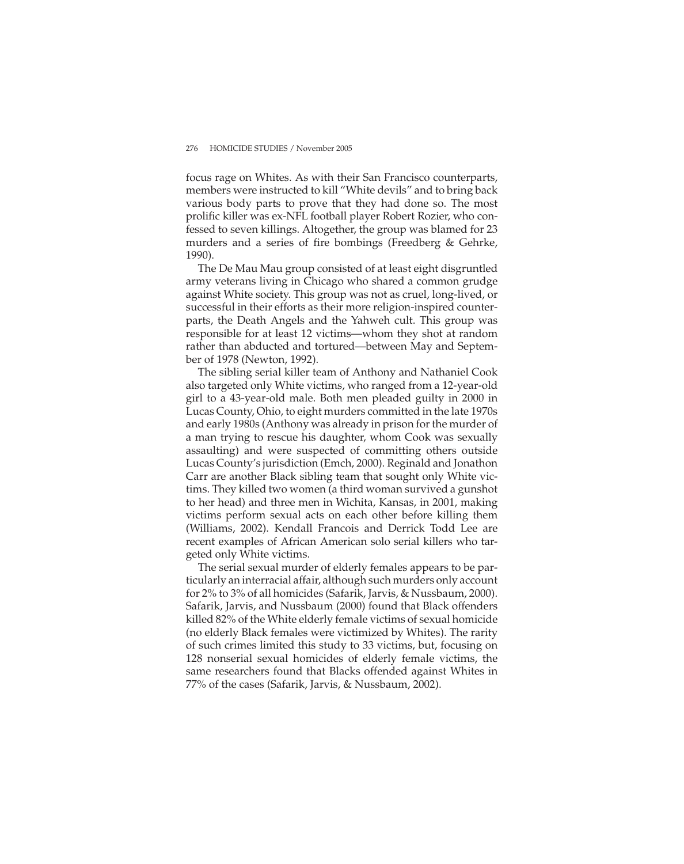focus rage on Whites. As with their San Francisco counterparts, members were instructed to kill "White devils" and to bring back various body parts to prove that they had done so. The most prolific killer was ex-NFL football player Robert Rozier, who confessed to seven killings. Altogether, the group was blamed for 23 murders and a series of fire bombings (Freedberg & Gehrke, 1990).

The De Mau Mau group consisted of at least eight disgruntled army veterans living in Chicago who shared a common grudge against White society. This group was not as cruel, long-lived, or successful in their efforts as their more religion-inspired counterparts, the Death Angels and the Yahweh cult. This group was responsible for at least 12 victims—whom they shot at random rather than abducted and tortured—between May and September of 1978 (Newton, 1992).

The sibling serial killer team of Anthony and Nathaniel Cook also targeted only White victims, who ranged from a 12-year-old girl to a 43-year-old male. Both men pleaded guilty in 2000 in Lucas County, Ohio, to eight murders committed in the late 1970s and early 1980s (Anthony was already in prison for the murder of a man trying to rescue his daughter, whom Cook was sexually assaulting) and were suspected of committing others outside Lucas County's jurisdiction (Emch, 2000). Reginald and Jonathon Carr are another Black sibling team that sought only White victims. They killed two women (a third woman survived a gunshot to her head) and three men in Wichita, Kansas, in 2001, making victims perform sexual acts on each other before killing them (Williams, 2002). Kendall Francois and Derrick Todd Lee are recent examples of African American solo serial killers who targeted only White victims.

The serial sexual murder of elderly females appears to be particularly an interracial affair, although such murders only account for 2% to 3% of all homicides (Safarik, Jarvis, & Nussbaum, 2000). Safarik, Jarvis, and Nussbaum (2000) found that Black offenders killed 82% of the White elderly female victims of sexual homicide (no elderly Black females were victimized by Whites). The rarity of such crimes limited this study to 33 victims, but, focusing on 128 nonserial sexual homicides of elderly female victims, the same researchers found that Blacks offended against Whites in 77% of the cases (Safarik, Jarvis, & Nussbaum, 2002).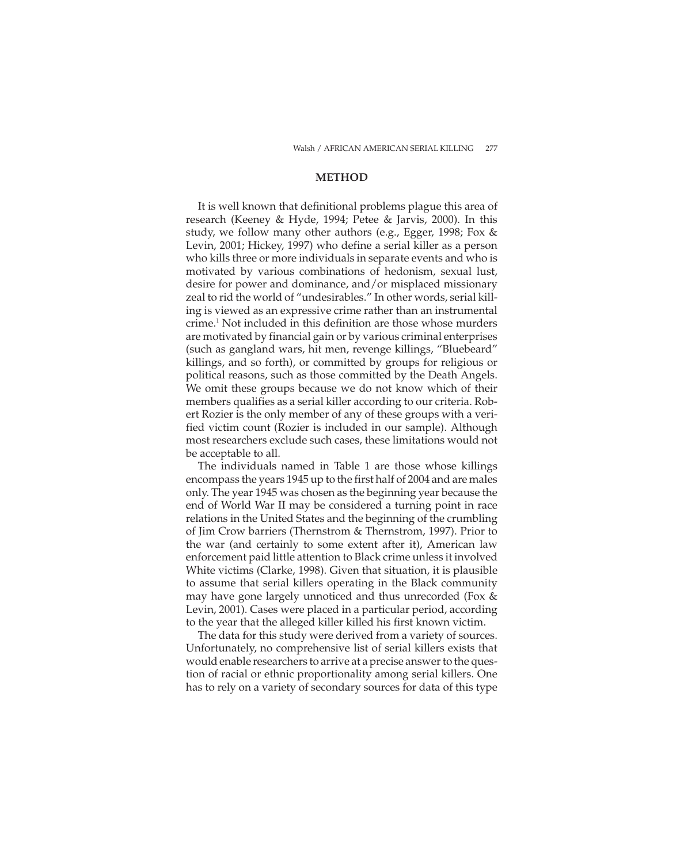## **METHOD**

It is well known that definitional problems plague this area of research (Keeney & Hyde, 1994; Petee & Jarvis, 2000). In this study, we follow many other authors (e.g., Egger, 1998; Fox & Levin, 2001; Hickey, 1997) who define a serial killer as a person who kills three or more individuals in separate events and who is motivated by various combinations of hedonism, sexual lust, desire for power and dominance, and/or misplaced missionary zeal to rid the world of "undesirables." In other words, serial killing is viewed as an expressive crime rather than an instrumental crime.1 Not included in this definition are those whose murders are motivated by financial gain or by various criminal enterprises (such as gangland wars, hit men, revenge killings, "Bluebeard" killings, and so forth), or committed by groups for religious or political reasons, such as those committed by the Death Angels. We omit these groups because we do not know which of their members qualifies as a serial killer according to our criteria. Robert Rozier is the only member of any of these groups with a verified victim count (Rozier is included in our sample). Although most researchers exclude such cases, these limitations would not be acceptable to all.

The individuals named in Table 1 are those whose killings encompass the years 1945 up to the first half of 2004 and are males only. The year 1945 was chosen as the beginning year because the end of World War II may be considered a turning point in race relations in the United States and the beginning of the crumbling of Jim Crow barriers (Thernstrom & Thernstrom, 1997). Prior to the war (and certainly to some extent after it), American law enforcement paid little attention to Black crime unless it involved White victims (Clarke, 1998). Given that situation, it is plausible to assume that serial killers operating in the Black community may have gone largely unnoticed and thus unrecorded (Fox & Levin, 2001). Cases were placed in a particular period, according to the year that the alleged killer killed his first known victim.

The data for this study were derived from a variety of sources. Unfortunately, no comprehensive list of serial killers exists that would enable researchers to arrive at a precise answer to the question of racial or ethnic proportionality among serial killers. One has to rely on a variety of secondary sources for data of this type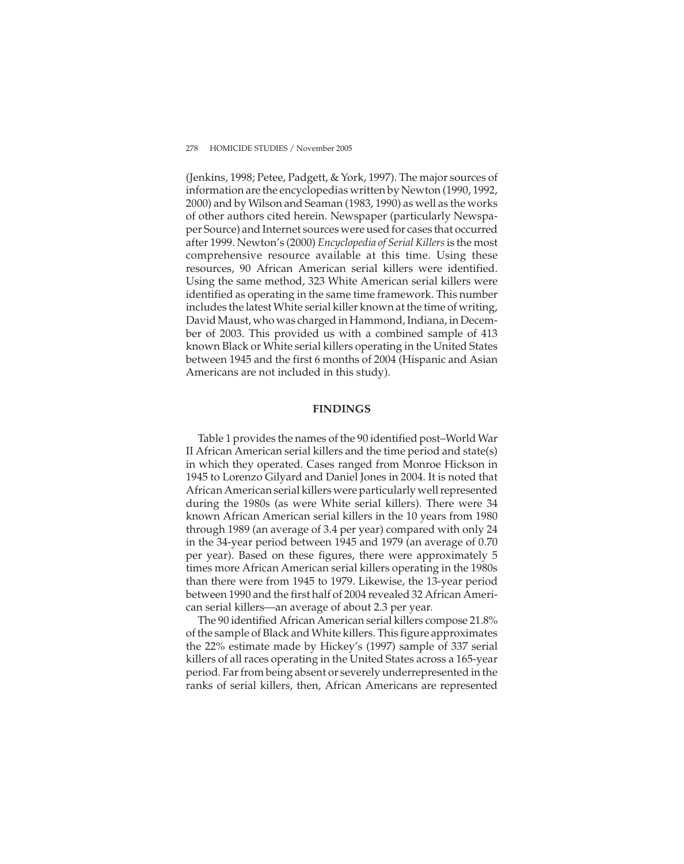(Jenkins, 1998; Petee, Padgett, & York, 1997). The major sources of information are the encyclopedias written by Newton (1990, 1992, 2000) and by Wilson and Seaman (1983, 1990) as well as the works of other authors cited herein. Newspaper (particularly Newspaper Source) and Internet sources were used for cases that occurred after 1999. Newton's (2000) *Encyclopedia of Serial Killers*is the most comprehensive resource available at this time. Using these resources, 90 African American serial killers were identified. Using the same method, 323 White American serial killers were identified as operating in the same time framework. This number includes the latest White serial killer known at the time of writing, David Maust, who was charged in Hammond, Indiana, in December of 2003. This provided us with a combined sample of 413 known Black or White serial killers operating in the United States between 1945 and the first 6 months of 2004 (Hispanic and Asian Americans are not included in this study).

# **FINDINGS**

Table 1 provides the names of the 90 identified post–World War II African American serial killers and the time period and state(s) in which they operated. Cases ranged from Monroe Hickson in 1945 to Lorenzo Gilyard and Daniel Jones in 2004. It is noted that African American serial killers were particularly well represented during the 1980s (as were White serial killers). There were 34 known African American serial killers in the 10 years from 1980 through 1989 (an average of 3.4 per year) compared with only 24 in the 34-year period between 1945 and 1979 (an average of 0.70 per year). Based on these figures, there were approximately 5 times more African American serial killers operating in the 1980s than there were from 1945 to 1979. Likewise, the 13-year period between 1990 and the first half of 2004 revealed 32 African American serial killers—an average of about 2.3 per year.

The 90 identified African American serial killers compose 21.8% of the sample of Black and White killers. This figure approximates the 22% estimate made by Hickey's (1997) sample of 337 serial killers of all races operating in the United States across a 165-year period. Far from being absent or severely underrepresented in the ranks of serial killers, then, African Americans are represented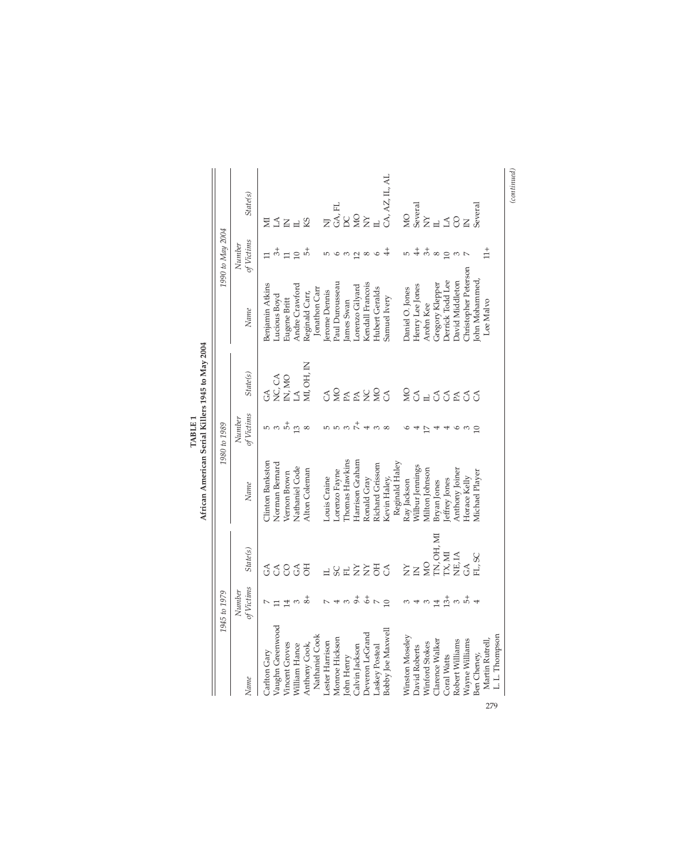|                                                  |                                                 |                         | African American Serial Killers 1945 to May 2004 |                                                                               |                        |                      |                      |                            |
|--------------------------------------------------|-------------------------------------------------|-------------------------|--------------------------------------------------|-------------------------------------------------------------------------------|------------------------|----------------------|----------------------|----------------------------|
|                                                  | 1945 to 1979                                    |                         |                                                  | 1980 to 1989                                                                  |                        |                      | 1990 to May 2004     |                            |
| Name                                             | Victims<br>Number                               | State(s)                | Name                                             | of Victims<br>Number                                                          | State(s)               | Name                 | of Victims<br>Number | State(s)                   |
| Carlton Gary                                     | $\sim$                                          |                         | Clinton Bankston                                 |                                                                               | $\mathfrak{S}$         | Benjamin Atkins      |                      | Σ                          |
|                                                  | $\Xi$ $\Xi$                                     | 338                     | Norman Bernard                                   | ທ ຕ $\stackrel{+}{\scriptstyle{\sim}}$ ຕ $\stackrel{+}{\scriptstyle{\sim}}$ ແ |                        | ucious Boyd          | $\frac{4}{5}$        | $\mathbb{A}$               |
| Vaughn Greenwood<br>Vincent Groves               |                                                 |                         | Vernon Brown                                     |                                                                               | NC, CA<br>IN, MO<br>LA | Eugene Britt         |                      |                            |
| William Hance                                    | $\mathcal{C}$                                   | $\Im$                   | Nathaniel Code                                   |                                                                               |                        | Andre Crawford       | $\overline{10}$      | $Z \nightharpoonup Z$      |
|                                                  | $\frac{+}{8}$                                   | БH                      | Alton Coleman                                    |                                                                               | MI, OH, IN             | Reginald Carr,       | $\frac{1}{2}$        |                            |
| Anthony Cook,<br>Nathaniel Cook                  |                                                 |                         |                                                  |                                                                               |                        | Jonathon Carr        |                      |                            |
| Lester Harrison<br>Monroe Hickson                | $\sim$                                          | $\equiv$                | Louis Craine                                     | 5                                                                             | $\mathcal{L}$          | Jerome Dennis        | $\overline{5}$       | Σ                          |
|                                                  |                                                 | $SL \ncong$             | Lorenzo Fayne                                    |                                                                               |                        | Paul Durousseau      |                      | $\mathsf{GA}, \mathsf{FL}$ |
|                                                  |                                                 |                         | Thomas Hawkins                                   |                                                                               |                        | James Swan           |                      | S S                        |
| John Henry<br>Calvin Jackson                     | $4000 + 400$                                    |                         | Harrison Graham                                  | $\begin{array}{c}\n0 \\ 0 \\ 0 \\ 0\n\end{array}$                             | <b>SEX</b>             | Lorenzo Gilyard      | 6928                 |                            |
| Deveron LeGrand                                  |                                                 | $\sum$                  | Ronald Gray                                      |                                                                               | gga                    | Kendall Francois     |                      | Š                          |
| Laskey Posteal                                   |                                                 | 8<br>3                  | Richard Grissom                                  |                                                                               |                        | Hubert Geralds       | $\circ$              |                            |
| Bobby Joe Maxwell                                | $\supseteq$                                     |                         | Kevin Haley,                                     |                                                                               |                        | Samuel Ivery         | $\ddot{+}$           | CA, AZ, IL, AL             |
|                                                  |                                                 |                         | Reginald Haley                                   |                                                                               |                        |                      |                      |                            |
| Winston Moseley                                  | 3                                               | Š                       | Ray Jackson                                      |                                                                               | S                      | Daniel O. Jones      | LŊ,                  | $\sum_{i=1}^{n}$           |
| David Roberts                                    | 4                                               | $\overline{\mathsf{K}}$ | Wilbur Jennings                                  |                                                                               | $\Im$                  | Henry Lee Jones      |                      | Several<br>NY              |
| Winford Stokes                                   | S                                               | Q                       | Milton Johnson                                   | ⊵                                                                             |                        | Arohn Kee            | $+ + + \infty$       |                            |
| Clarence Walker                                  | $\overline{14}$                                 | I'N, OH, MI             | Bryan Jones                                      | 4                                                                             | H33E                   | Gregory Klepper      |                      | $\overline{a}$             |
| Coral Watts                                      |                                                 | TX, MI                  | leffrey Jones                                    | 4                                                                             |                        | Derrick Todd Lee     | $\overline{10}$      | 38                         |
|                                                  |                                                 | NE, IA                  | Anthony Joiner                                   | ⊙                                                                             |                        | David Middleton      | $\mathfrak{g}$       |                            |
| Robert Williams<br>Wayne Williams                | $\frac{11}{12}$ $\frac{11}{12}$ $\frac{11}{12}$ | $\mathbb{S}$            | Horace Kelly                                     | S                                                                             | JI                     | Christopher Peterson | $\overline{a}$       | Σ                          |
|                                                  |                                                 | FL, SC                  | Michael Player                                   | $\Box$                                                                        |                        | John Mohammed,       |                      | Several                    |
| Ben Cheney,<br>Martin Rutrell,<br>L. L. Thompson |                                                 |                         |                                                  |                                                                               |                        | Lee Malvo            | $\frac{1}{11}$       |                            |
| 279                                              |                                                 |                         |                                                  |                                                                               |                        |                      |                      |                            |

 $\sum_{i=1}^{n}$ **African American Serial Killers 1945 to May 2004**  $\begin{array}{ll} \textbf{TABLE 1} \\ \textbf{Scal} & \textbf{Vill} \\ \end{array}$ **TABLE 1**  $\ddot{\phantom{a}}$ 

 $\left( {continued} \right)$ *(continued)*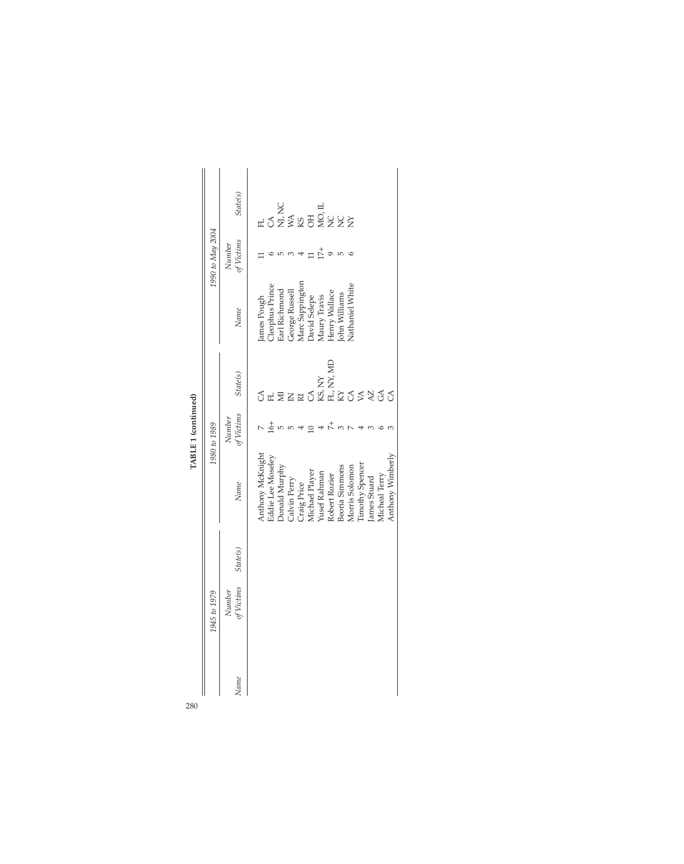|      | 1945 to 1979         |          |                   | 1980 to 1989         |                                                                                                      |                 | 1990 to May 2004     |          |
|------|----------------------|----------|-------------------|----------------------|------------------------------------------------------------------------------------------------------|-----------------|----------------------|----------|
| Name | Number<br>of Victims | State(s) | Name              | of Victims<br>Number | State(s)                                                                                             | Name            | of Victims<br>Number | State(s) |
|      |                      |          | Anthony McKnight  | $\sim$               | $\mathcal{L}$                                                                                        | James Pough     |                      | E        |
|      |                      |          | Eddie Lee Moseley |                      |                                                                                                      | Cleophus Prince |                      |          |
|      |                      |          | Donald Murphy     |                      | <b>出复召</b> N                                                                                         | Earl Richmond   | 653                  |          |
|      |                      |          | Calvin Perry      |                      |                                                                                                      | George Russell  |                      |          |
|      |                      |          | Craig Price       |                      |                                                                                                      | Marc Sappington | 4                    |          |
|      |                      |          | Michael Player    |                      | $\mathcal{L}$                                                                                        | David Selepe    | $\equiv$             |          |
|      |                      |          | Yusef Rahman      |                      |                                                                                                      | Maury Travis    |                      |          |
|      |                      |          | Robert Rozier     |                      | $\mathop{\rm KS}\limits_{\mathop{\rm FL}\limits_{J}}\mathop{\rm NV}\limits_{\mathop{\rm MD}\limits}$ | Henry Wallace   | $\overline{5}$ on o  |          |
|      |                      |          | Beoria Simmons    |                      |                                                                                                      | John Williams   |                      |          |
|      |                      |          | Morris Solomon    |                      | $\stackrel{\sim}{\approx}$                                                                           | Nathaniel White |                      |          |
|      |                      |          | Timothy Spencer   |                      |                                                                                                      |                 |                      |          |
|      |                      |          | James Stuard      | 400                  | 3233                                                                                                 |                 |                      |          |
|      |                      |          | Micheal Terry     |                      |                                                                                                      |                 |                      |          |
|      |                      |          | Anthony Wimberly  | 3                    |                                                                                                      |                 |                      |          |

280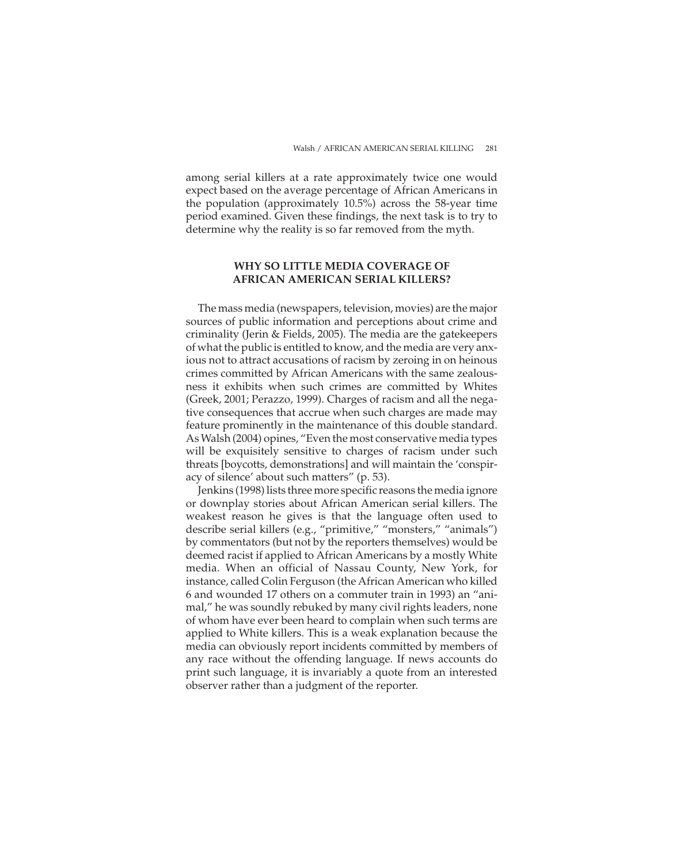among serial killers at a rate approximately twice one would expect based on the average percentage of African Americans in the population (approximately 10.5%) across the 58-year time period examined. Given these findings, the next task is to try to determine why the reality is so far removed from the myth.

# **WHY SO LITTLE MEDIA COVERAGE OF AFRICAN AMERICAN SERIAL KILLERS?**

The mass media (newspapers, television, movies) are the major sources of public information and perceptions about crime and criminality (Jerin & Fields, 2005). The media are the gatekeepers of what the public is entitled to know, and the media are very anxious not to attract accusations of racism by zeroing in on heinous crimes committed by African Americans with the same zealousness it exhibits when such crimes are committed by Whites (Greek, 2001; Perazzo, 1999). Charges of racism and all the negative consequences that accrue when such charges are made may feature prominently in the maintenance of this double standard. As Walsh (2004) opines, "Even the most conservative media types will be exquisitely sensitive to charges of racism under such threats [boycotts, demonstrations] and will maintain the 'conspiracy of silence' about such matters" (p. 53).

Jenkins (1998) lists three more specific reasons the media ignore or downplay stories about African American serial killers. The weakest reason he gives is that the language often used to describe serial killers (e.g., "primitive," "monsters," "animals") by commentators (but not by the reporters themselves) would be deemed racist if applied to African Americans by a mostly White media. When an official of Nassau County, New York, for instance, called Colin Ferguson (the African American who killed 6 and wounded 17 others on a commuter train in 1993) an "animal," he was soundly rebuked by many civil rights leaders, none of whom have ever been heard to complain when such terms are applied to White killers. This is a weak explanation because the media can obviously report incidents committed by members of any race without the offending language. If news accounts do print such language, it is invariably a quote from an interested observer rather than a judgment of the reporter.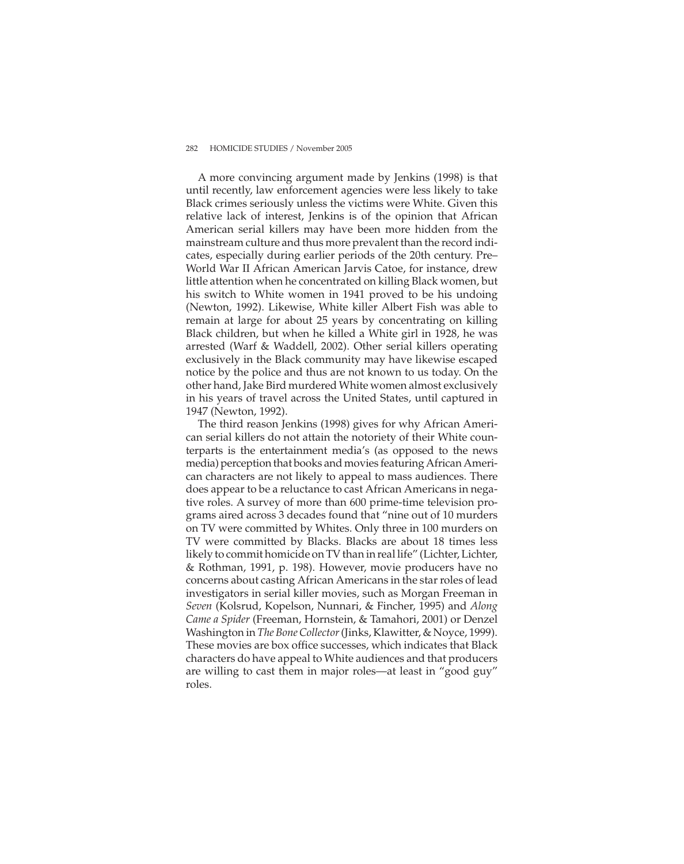A more convincing argument made by Jenkins (1998) is that until recently, law enforcement agencies were less likely to take Black crimes seriously unless the victims were White. Given this relative lack of interest, Jenkins is of the opinion that African American serial killers may have been more hidden from the mainstream culture and thus more prevalent than the record indicates, especially during earlier periods of the 20th century. Pre– World War II African American Jarvis Catoe, for instance, drew little attention when he concentrated on killing Black women, but his switch to White women in 1941 proved to be his undoing (Newton, 1992). Likewise, White killer Albert Fish was able to remain at large for about 25 years by concentrating on killing Black children, but when he killed a White girl in 1928, he was arrested (Warf & Waddell, 2002). Other serial killers operating exclusively in the Black community may have likewise escaped notice by the police and thus are not known to us today. On the other hand, Jake Bird murdered White women almost exclusively in his years of travel across the United States, until captured in 1947 (Newton, 1992).

The third reason Jenkins (1998) gives for why African American serial killers do not attain the notoriety of their White counterparts is the entertainment media's (as opposed to the news media) perception that books and movies featuring African American characters are not likely to appeal to mass audiences. There does appear to be a reluctance to cast African Americans in negative roles. A survey of more than 600 prime-time television programs aired across 3 decades found that "nine out of 10 murders on TV were committed by Whites. Only three in 100 murders on TV were committed by Blacks. Blacks are about 18 times less likely to commit homicide on TV than in real life" (Lichter, Lichter, & Rothman, 1991, p. 198). However, movie producers have no concerns about casting African Americans in the star roles of lead investigators in serial killer movies, such as Morgan Freeman in *Seven* (Kolsrud, Kopelson, Nunnari, & Fincher, 1995) and *Along Came a Spider* (Freeman, Hornstein, & Tamahori, 2001) or Denzel Washington in *The Bone Collector*(Jinks, Klawitter, & Noyce, 1999). These movies are box office successes, which indicates that Black characters do have appeal to White audiences and that producers are willing to cast them in major roles—at least in "good guy" roles.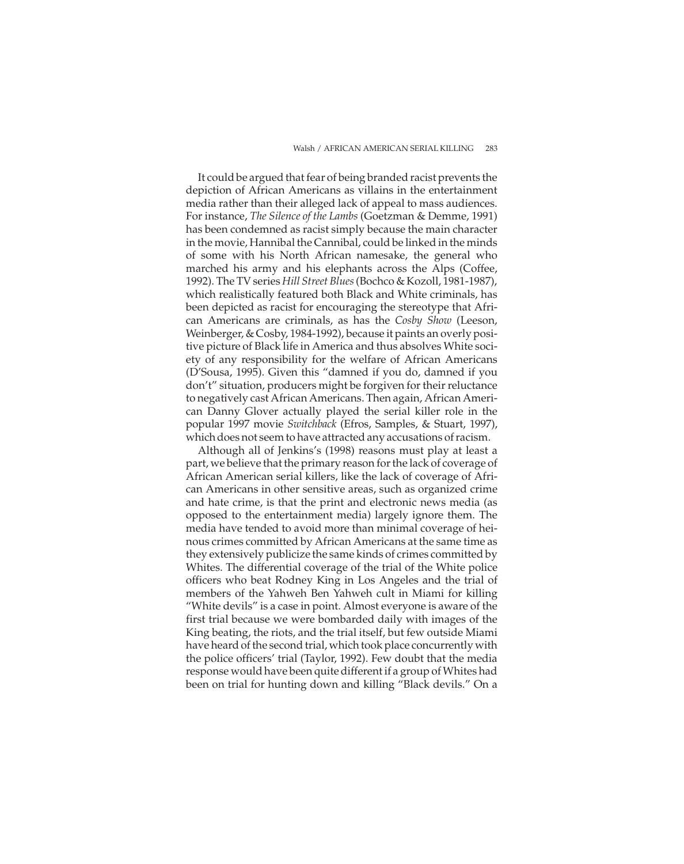It could be argued that fear of being branded racist prevents the depiction of African Americans as villains in the entertainment media rather than their alleged lack of appeal to mass audiences. For instance, *The Silence of the Lambs* (Goetzman & Demme, 1991) has been condemned as racist simply because the main character in the movie, Hannibal the Cannibal, could be linked in the minds of some with his North African namesake, the general who marched his army and his elephants across the Alps (Coffee, 1992). The TV series *Hill Street Blues*(Bochco & Kozoll, 1981-1987), which realistically featured both Black and White criminals, has been depicted as racist for encouraging the stereotype that African Americans are criminals, as has the *Cosby Show* (Leeson, Weinberger, & Cosby, 1984-1992), because it paints an overly positive picture of Black life in America and thus absolves White society of any responsibility for the welfare of African Americans (D'Sousa, 1995). Given this "damned if you do, damned if you don't" situation, producers might be forgiven for their reluctance to negatively cast African Americans. Then again, African American Danny Glover actually played the serial killer role in the popular 1997 movie *Switchback* (Efros, Samples, & Stuart, 1997), which does not seem to have attracted any accusations of racism.

Although all of Jenkins's (1998) reasons must play at least a part, we believe that the primary reason for the lack of coverage of African American serial killers, like the lack of coverage of African Americans in other sensitive areas, such as organized crime and hate crime, is that the print and electronic news media (as opposed to the entertainment media) largely ignore them. The media have tended to avoid more than minimal coverage of heinous crimes committed by African Americans at the same time as they extensively publicize the same kinds of crimes committed by Whites. The differential coverage of the trial of the White police officers who beat Rodney King in Los Angeles and the trial of members of the Yahweh Ben Yahweh cult in Miami for killing "White devils" is a case in point. Almost everyone is aware of the first trial because we were bombarded daily with images of the King beating, the riots, and the trial itself, but few outside Miami have heard of the second trial, which took place concurrently with the police officers' trial (Taylor, 1992). Few doubt that the media response would have been quite different if a group of Whites had been on trial for hunting down and killing "Black devils." On a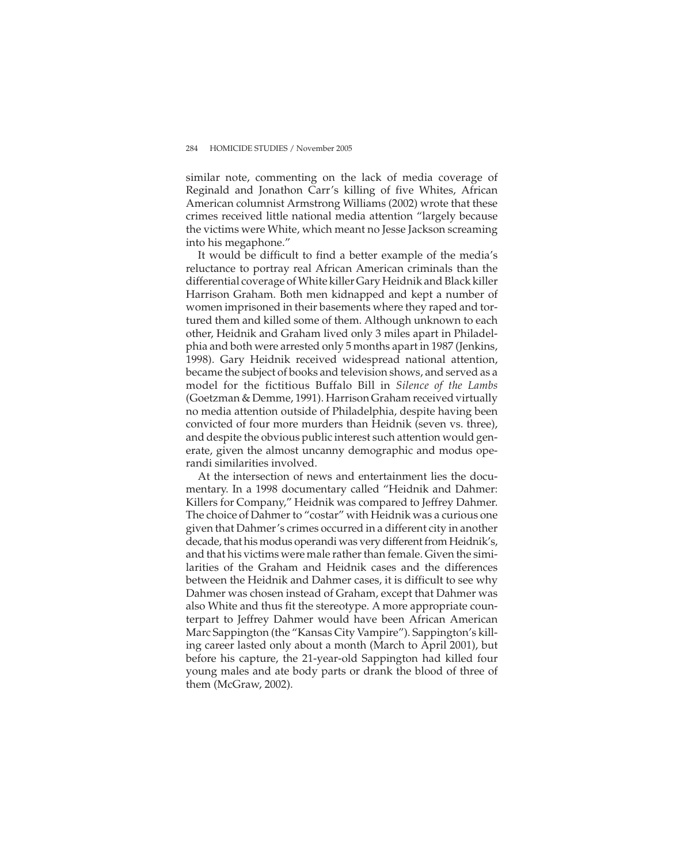similar note, commenting on the lack of media coverage of Reginald and Jonathon Carr's killing of five Whites, African American columnist Armstrong Williams (2002) wrote that these crimes received little national media attention "largely because the victims were White, which meant no Jesse Jackson screaming into his megaphone."

It would be difficult to find a better example of the media's reluctance to portray real African American criminals than the differential coverage of White killer Gary Heidnik and Black killer Harrison Graham. Both men kidnapped and kept a number of women imprisoned in their basements where they raped and tortured them and killed some of them. Although unknown to each other, Heidnik and Graham lived only 3 miles apart in Philadelphia and both were arrested only 5 months apart in 1987 (Jenkins, 1998). Gary Heidnik received widespread national attention, became the subject of books and television shows, and served as a model for the fictitious Buffalo Bill in *Silence of the Lambs* (Goetzman & Demme, 1991). Harrison Graham received virtually no media attention outside of Philadelphia, despite having been convicted of four more murders than Heidnik (seven vs. three), and despite the obvious public interest such attention would generate, given the almost uncanny demographic and modus operandi similarities involved.

At the intersection of news and entertainment lies the documentary. In a 1998 documentary called "Heidnik and Dahmer: Killers for Company," Heidnik was compared to Jeffrey Dahmer. The choice of Dahmer to "costar" with Heidnik was a curious one given that Dahmer's crimes occurred in a different city in another decade, that his modus operandi was very different from Heidnik's, and that his victims were male rather than female. Given the similarities of the Graham and Heidnik cases and the differences between the Heidnik and Dahmer cases, it is difficult to see why Dahmer was chosen instead of Graham, except that Dahmer was also White and thus fit the stereotype. A more appropriate counterpart to Jeffrey Dahmer would have been African American Marc Sappington (the "Kansas City Vampire"). Sappington's killing career lasted only about a month (March to April 2001), but before his capture, the 21-year-old Sappington had killed four young males and ate body parts or drank the blood of three of them (McGraw, 2002).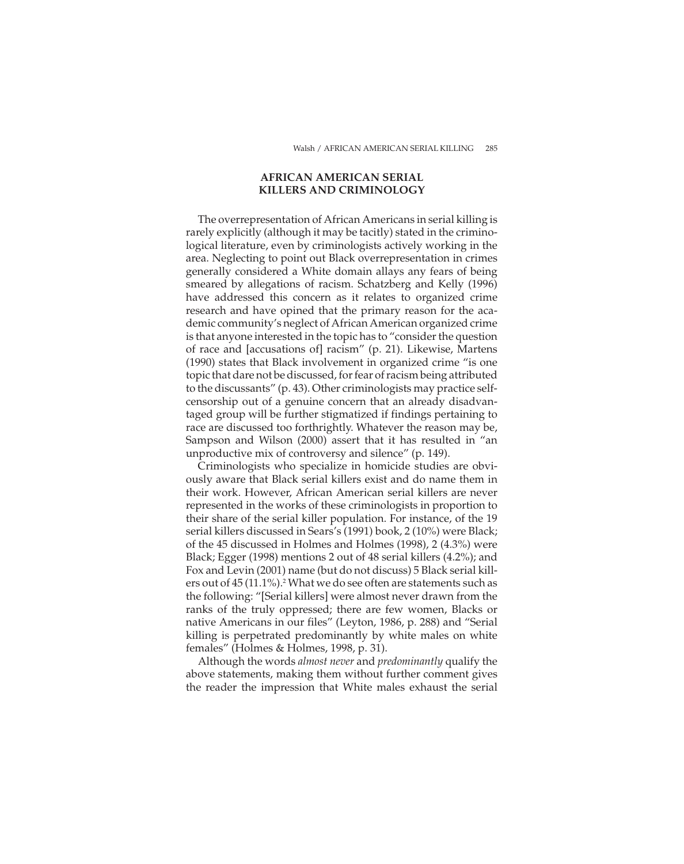# **AFRICAN AMERICAN SERIAL KILLERS AND CRIMINOLOGY**

The overrepresentation of African Americans in serial killing is rarely explicitly (although it may be tacitly) stated in the criminological literature, even by criminologists actively working in the area. Neglecting to point out Black overrepresentation in crimes generally considered a White domain allays any fears of being smeared by allegations of racism. Schatzberg and Kelly (1996) have addressed this concern as it relates to organized crime research and have opined that the primary reason for the academic community's neglect of African American organized crime is that anyone interested in the topic has to "consider the question of race and [accusations of] racism" (p. 21). Likewise, Martens (1990) states that Black involvement in organized crime "is one topic that dare not be discussed, for fear of racism being attributed to the discussants" (p. 43). Other criminologists may practice selfcensorship out of a genuine concern that an already disadvantaged group will be further stigmatized if findings pertaining to race are discussed too forthrightly. Whatever the reason may be, Sampson and Wilson (2000) assert that it has resulted in "an unproductive mix of controversy and silence" (p. 149).

Criminologists who specialize in homicide studies are obviously aware that Black serial killers exist and do name them in their work. However, African American serial killers are never represented in the works of these criminologists in proportion to their share of the serial killer population. For instance, of the 19 serial killers discussed in Sears's (1991) book, 2 (10%) were Black; of the 45 discussed in Holmes and Holmes (1998), 2 (4.3%) were Black; Egger (1998) mentions 2 out of 48 serial killers (4.2%); and Fox and Levin (2001) name (but do not discuss) 5 Black serial killers out of 45 (11.1%).<sup>2</sup> What we do see often are statements such as the following: "[Serial killers] were almost never drawn from the ranks of the truly oppressed; there are few women, Blacks or native Americans in our files" (Leyton, 1986, p. 288) and "Serial killing is perpetrated predominantly by white males on white females" (Holmes & Holmes, 1998, p. 31).

Although the words *almost never* and *predominantly* qualify the above statements, making them without further comment gives the reader the impression that White males exhaust the serial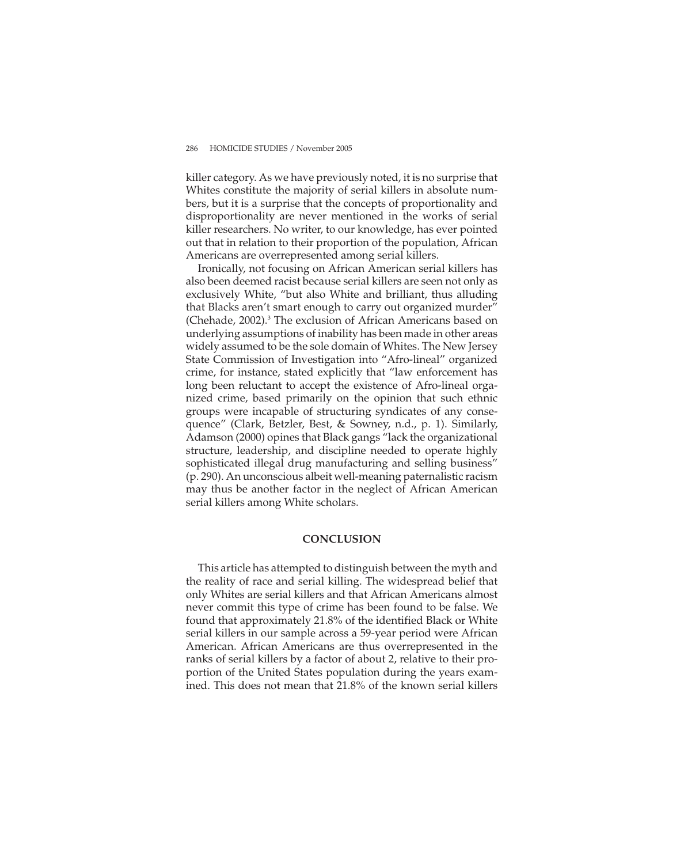killer category. As we have previously noted, it is no surprise that Whites constitute the majority of serial killers in absolute numbers, but it is a surprise that the concepts of proportionality and disproportionality are never mentioned in the works of serial killer researchers. No writer, to our knowledge, has ever pointed out that in relation to their proportion of the population, African Americans are overrepresented among serial killers.

Ironically, not focusing on African American serial killers has also been deemed racist because serial killers are seen not only as exclusively White, "but also White and brilliant, thus alluding that Blacks aren't smart enough to carry out organized murder" (Chehade,  $2002$ ).<sup>3</sup> The exclusion of African Americans based on underlying assumptions of inability has been made in other areas widely assumed to be the sole domain of Whites. The New Jersey State Commission of Investigation into "Afro-lineal" organized crime, for instance, stated explicitly that "law enforcement has long been reluctant to accept the existence of Afro-lineal organized crime, based primarily on the opinion that such ethnic groups were incapable of structuring syndicates of any consequence" (Clark, Betzler, Best, & Sowney, n.d., p. 1). Similarly, Adamson (2000) opines that Black gangs "lack the organizational structure, leadership, and discipline needed to operate highly sophisticated illegal drug manufacturing and selling business" (p. 290). An unconscious albeit well-meaning paternalistic racism may thus be another factor in the neglect of African American serial killers among White scholars.

# **CONCLUSION**

This article has attempted to distinguish between the myth and the reality of race and serial killing. The widespread belief that only Whites are serial killers and that African Americans almost never commit this type of crime has been found to be false. We found that approximately 21.8% of the identified Black or White serial killers in our sample across a 59-year period were African American. African Americans are thus overrepresented in the ranks of serial killers by a factor of about 2, relative to their proportion of the United States population during the years examined. This does not mean that 21.8% of the known serial killers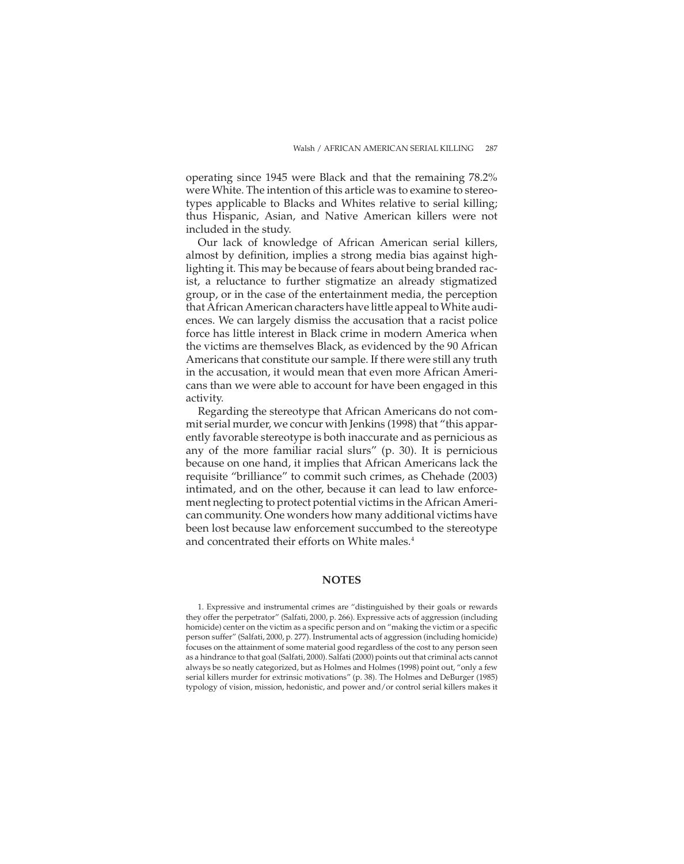operating since 1945 were Black and that the remaining 78.2% were White. The intention of this article was to examine to stereotypes applicable to Blacks and Whites relative to serial killing; thus Hispanic, Asian, and Native American killers were not included in the study.

Our lack of knowledge of African American serial killers, almost by definition, implies a strong media bias against highlighting it. This may be because of fears about being branded racist, a reluctance to further stigmatize an already stigmatized group, or in the case of the entertainment media, the perception that African American characters have little appeal to White audiences. We can largely dismiss the accusation that a racist police force has little interest in Black crime in modern America when the victims are themselves Black, as evidenced by the 90 African Americans that constitute our sample. If there were still any truth in the accusation, it would mean that even more African Americans than we were able to account for have been engaged in this activity.

Regarding the stereotype that African Americans do not commit serial murder, we concur with Jenkins (1998) that "this apparently favorable stereotype is both inaccurate and as pernicious as any of the more familiar racial slurs" (p. 30). It is pernicious because on one hand, it implies that African Americans lack the requisite "brilliance" to commit such crimes, as Chehade (2003) intimated, and on the other, because it can lead to law enforcement neglecting to protect potential victims in the African American community. One wonders how many additional victims have been lost because law enforcement succumbed to the stereotype and concentrated their efforts on White males.<sup>4</sup>

# **NOTES**

1. Expressive and instrumental crimes are "distinguished by their goals or rewards they offer the perpetrator" (Salfati, 2000, p. 266). Expressive acts of aggression (including homicide) center on the victim as a specific person and on "making the victim or a specific person suffer" (Salfati, 2000, p. 277). Instrumental acts of aggression (including homicide) focuses on the attainment of some material good regardless of the cost to any person seen as a hindrance to that goal (Salfati, 2000). Salfati (2000) points out that criminal acts cannot always be so neatly categorized, but as Holmes and Holmes (1998) point out, "only a few serial killers murder for extrinsic motivations" (p. 38). The Holmes and DeBurger (1985) typology of vision, mission, hedonistic, and power and/or control serial killers makes it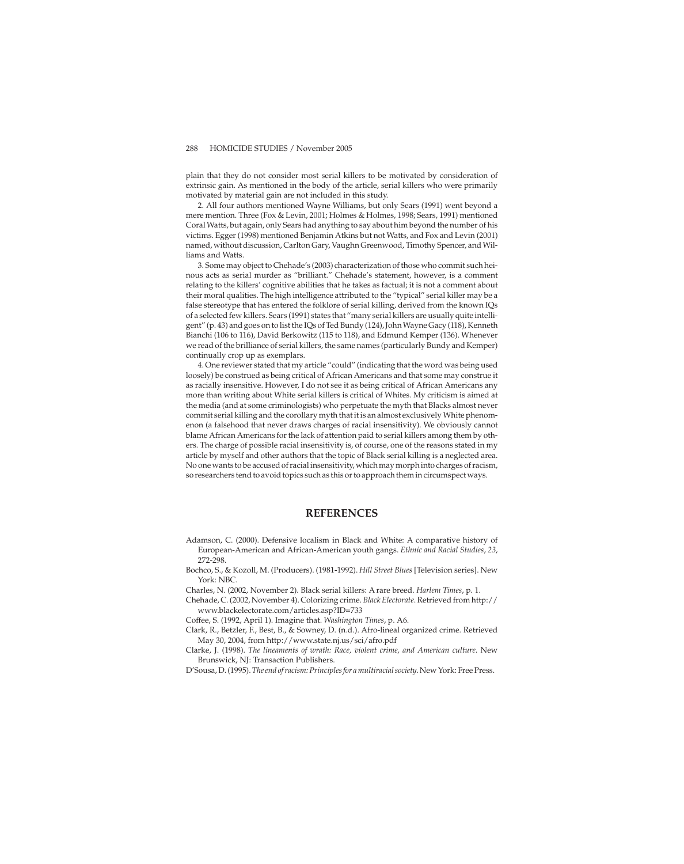plain that they do not consider most serial killers to be motivated by consideration of extrinsic gain. As mentioned in the body of the article, serial killers who were primarily motivated by material gain are not included in this study.

2. All four authors mentioned Wayne Williams, but only Sears (1991) went beyond a mere mention. Three (Fox & Levin, 2001; Holmes & Holmes, 1998; Sears, 1991) mentioned Coral Watts, but again, only Sears had anything to say about him beyond the number of his victims. Egger (1998) mentioned Benjamin Atkins but not Watts, and Fox and Levin (2001) named, without discussion, Carlton Gary, Vaughn Greenwood, Timothy Spencer, and Williams and Watts.

3. Some may object to Chehade's (2003) characterization of those who commit such heinous acts as serial murder as "brilliant." Chehade's statement, however, is a comment relating to the killers' cognitive abilities that he takes as factual; it is not a comment about their moral qualities. The high intelligence attributed to the "typical" serial killer may be a false stereotype that has entered the folklore of serial killing, derived from the known IQs of a selected few killers. Sears (1991) states that "many serial killers are usually quite intelligent" (p. 43) and goes on to list the IQs of Ted Bundy (124), John Wayne Gacy (118), Kenneth Bianchi (106 to 116), David Berkowitz (115 to 118), and Edmund Kemper (136). Whenever we read of the brilliance of serial killers, the same names (particularly Bundy and Kemper) continually crop up as exemplars.

4. One reviewer stated that my article "could" (indicating that the word was being used loosely) be construed as being critical of African Americans and that some may construe it as racially insensitive. However, I do not see it as being critical of African Americans any more than writing about White serial killers is critical of Whites. My criticism is aimed at the media (and at some criminologists) who perpetuate the myth that Blacks almost never commit serial killing and the corollary myth that it is an almost exclusively White phenomenon (a falsehood that never draws charges of racial insensitivity). We obviously cannot blame African Americans for the lack of attention paid to serial killers among them by others. The charge of possible racial insensitivity is, of course, one of the reasons stated in my article by myself and other authors that the topic of Black serial killing is a neglected area. No one wants to be accused of racial insensitivity, which may morph into charges of racism, so researchers tend to avoid topics such as this or to approach them in circumspect ways.

### **REFERENCES**

- Adamson, C. (2000). Defensive localism in Black and White: A comparative history of European-American and African-American youth gangs. *Ethnic and Racial Studies*, *23*, 272-298.
- Bochco, S., & Kozoll, M. (Producers). (1981-1992). *Hill Street Blues* [Television series]. New York: NBC.
- Charles, N. (2002, November 2). Black serial killers: A rare breed. *Harlem Times*, p. 1.
- Chehade, C. (2002, November 4). Colorizing crime. *Black Electorate*. Retrieved from http:// www.blackelectorate.com/articles.asp?ID=733
- Coffee, S. (1992, April 1). Imagine that. *Washington Times*, p. A6.
- Clark, R., Betzler, F., Best, B., & Sowney, D. (n.d.). Afro-lineal organized crime. Retrieved May 30, 2004, from http://www.state.nj.us/sci/afro.pdf
- Clarke, J. (1998). *The lineaments of wrath: Race, violent crime, and American culture*. New Brunswick, NJ: Transaction Publishers.
- D'Sousa, D. (1995).*The end of racism: Principles for a multiracial society*. New York: Free Press.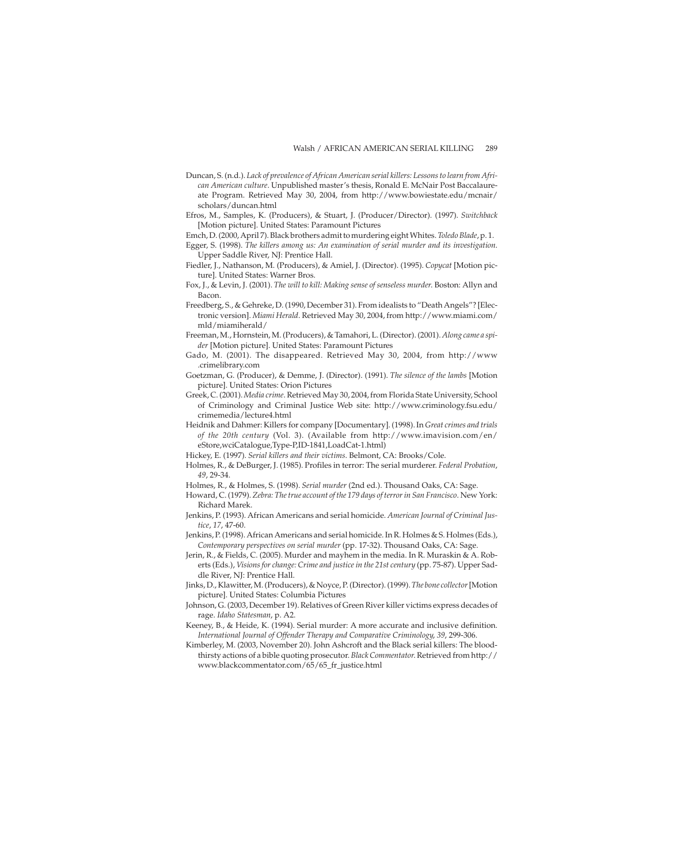- Duncan, S. (n.d.). *Lack of prevalence of African American serial killers: Lessons to learn from African American culture*. Unpublished master's thesis, Ronald E. McNair Post Baccalaureate Program. Retrieved May 30, 2004, from http://www.bowiestate.edu/mcnair/ scholars/duncan.html
- Efros, M., Samples, K. (Producers), & Stuart, J. (Producer/Director). (1997). *Switchback* [Motion picture]. United States: Paramount Pictures
- Emch, D. (2000, April 7). Black brothers admit to murdering eight Whites.*Toledo Blade*, p. 1.
- Egger, S. (1998). *The killers among us: An examination of serial murder and its investigation*. Upper Saddle River, NJ: Prentice Hall.
- Fiedler, J., Nathanson, M. (Producers), & Amiel, J. (Director). (1995). *Copycat* [Motion picture]. United States: Warner Bros.
- Fox, J., & Levin, J. (2001). *The will to kill: Making sense of senseless murder*. Boston: Allyn and Bacon.
- Freedberg, S., & Gehreke, D. (1990, December 31). From idealists to "Death Angels"? [Electronic version]. *Miami Herald*. Retrieved May 30, 2004, from http://www.miami.com/ mld/miamiherald/
- Freeman, M., Hornstein, M. (Producers), & Tamahori, L. (Director). (2001).*Along came a spider* [Motion picture]. United States: Paramount Pictures
- Gado, M. (2001). The disappeared. Retrieved May 30, 2004, from http://www .crimelibrary.com
- Goetzman, G. (Producer), & Demme, J. (Director). (1991). *The silence of the lambs* [Motion picture]. United States: Orion Pictures
- Greek, C. (2001).*Media crime*. Retrieved May 30, 2004, from Florida State University, School of Criminology and Criminal Justice Web site: http://www.criminology.fsu.edu/ crimemedia/lecture4.html
- Heidnik and Dahmer: Killers for company [Documentary]. (1998). In *Great crimes and trials of the 20th century* (Vol. 3). (Available from http://www.imavision.com/en/ eStore,wciCatalogue,Type-P,ID-1841,LoadCat-1.html)
- Hickey, E. (1997). *Serial killers and their victims*. Belmont, CA: Brooks/Cole.
- Holmes, R., & DeBurger, J. (1985). Profiles in terror: The serial murderer. *Federal Probation*, *49*, 29-34.
- Holmes, R., & Holmes, S. (1998). *Serial murder* (2nd ed.). Thousand Oaks, CA: Sage.
- Howard, C. (1979).*Zebra: The true account of the 179 days of terror in San Francisco*. New York: Richard Marek.
- Jenkins, P. (1993). African Americans and serial homicide. *American Journal of Criminal Justice*, *17*, 47-60.
- Jenkins, P. (1998). African Americans and serial homicide. In R. Holmes & S. Holmes (Eds.), *Contemporary perspectives on serial murder* (pp. 17-32). Thousand Oaks, CA: Sage.
- Jerin, R., & Fields, C. (2005). Murder and mayhem in the media. In R. Muraskin & A. Roberts (Eds.), *Visions for change: Crime and justice in the 21st century* (pp. 75-87). Upper Saddle River, NJ: Prentice Hall.
- Jinks, D., Klawitter, M. (Producers), & Noyce, P. (Director). (1999).*The bone collector*[Motion picture]. United States: Columbia Pictures
- Johnson, G. (2003, December 19). Relatives of Green River killer victims express decades of rage. *Idaho Statesman*, p. A2.
- Keeney, B., & Heide, K. (1994). Serial murder: A more accurate and inclusive definition. *International Journal of Offender Therapy and Comparative Criminology*, *39*, 299-306.
- Kimberley, M. (2003, November 20). John Ashcroft and the Black serial killers: The bloodthirsty actions of a bible quoting prosecutor. *Black Commentator*. Retrieved from http:// www.blackcommentator.com/65/65\_fr\_justice.html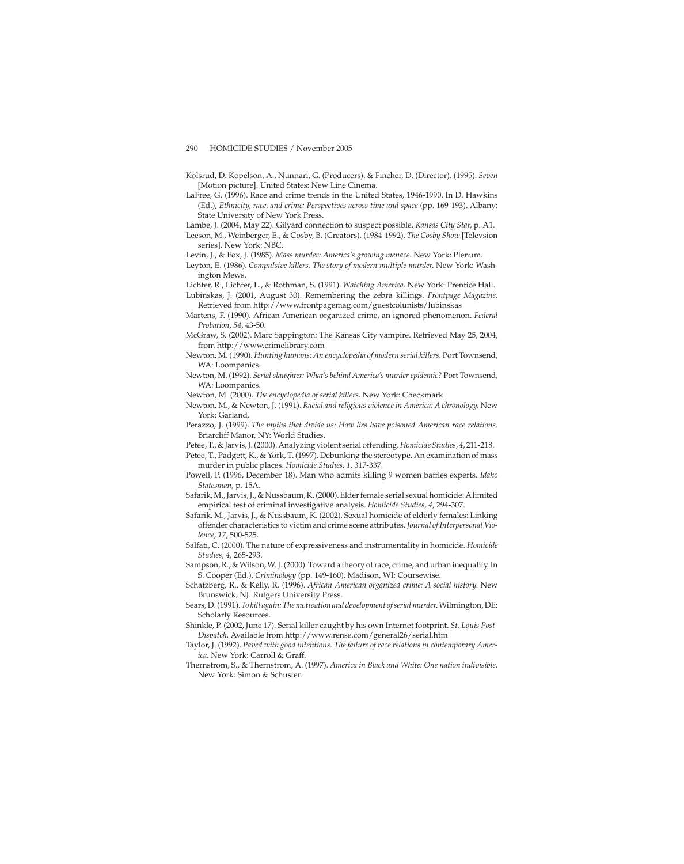- Kolsrud, D. Kopelson, A., Nunnari, G. (Producers), & Fincher, D. (Director). (1995). *Seven* [Motion picture]. United States: New Line Cinema.
- LaFree, G. (1996). Race and crime trends in the United States, 1946-1990. In D. Hawkins (Ed.), *Ethnicity, race, and crime: Perspectives across time and space* (pp. 169-193). Albany: State University of New York Press.
- Lambe, J. (2004, May 22). Gilyard connection to suspect possible. *Kansas City Star*, p. A1.
- Leeson, M., Weinberger, E., & Cosby, B. (Creators). (1984-1992). *The Cosby Show* [Televsion series]. New York: NBC.

Levin, J., & Fox, J. (1985). *Mass murder: America's growing menace*. New York: Plenum.

Leyton, E. (1986). *Compulsive killers. The story of modern multiple murder*. New York: Washington Mews.

Lichter, R., Lichter, L., & Rothman, S. (1991). *Watching America*. New York: Prentice Hall.

Lubinskas, J. (2001, August 30). Remembering the zebra killings. *Frontpage Magazine*. Retrieved from http://www.frontpagemag.com/guestcolunists/lubinskas

- Martens, F. (1990). African American organized crime, an ignored phenomenon. *Federal Probation*, *54*, 43-50.
- McGraw, S. (2002). Marc Sappington: The Kansas City vampire. Retrieved May 25, 2004, from http://www.crimelibrary.com
- Newton, M. (1990). *Hunting humans: An encyclopedia of modern serial killers*. Port Townsend, WA: Loompanics.
- Newton, M. (1992). *Serial slaughter: What's behind America's murder epidemic?* Port Townsend, WA: Loompanics.
- Newton, M. (2000). *The encyclopedia of serial killers*. New York: Checkmark.
- Newton, M., & Newton, J. (1991). *Racial and religious violence in America: A chronology*. New York: Garland.
- Perazzo, J. (1999). *The myths that divide us: How lies have poisoned American race relations*. Briarcliff Manor, NY: World Studies.
- Petee, T., & Jarvis, J. (2000). Analyzing violent serial offending.*Homicide Studies*, *4*, 211-218.
- Petee, T., Padgett, K., & York, T. (1997). Debunking the stereotype. An examination of mass murder in public places. *Homicide Studies*, *1*, 317-337.
- Powell, P. (1996, December 18). Man who admits killing 9 women baffles experts. *Idaho Statesman*, p. 15A.
- Safarik, M., Jarvis, J., & Nussbaum, K. (2000). Elder female serial sexual homicide: Alimited empirical test of criminal investigative analysis. *Homicide Studies*, *4*, 294-307.
- Safarik, M., Jarvis, J., & Nussbaum, K. (2002). Sexual homicide of elderly females: Linking offender characteristics to victim and crime scene attributes. *Journal of Interpersonal Violence*, *17*, 500-525.
- Salfati, C. (2000). The nature of expressiveness and instrumentality in homicide. *Homicide Studies*, *4*, 265-293.
- Sampson, R., & Wilson, W. J. (2000). Toward a theory of race, crime, and urban inequality. In S. Cooper (Ed.), *Criminology* (pp. 149-160). Madison, WI: Coursewise.
- Schatzberg, R., & Kelly, R. (1996). *African American organized crime: A social history*. New Brunswick, NJ: Rutgers University Press.
- Sears, D. (1991).*To kill again: The motivation and development of serial murder*. Wilmington, DE: Scholarly Resources.
- Shinkle, P. (2002, June 17). Serial killer caught by his own Internet footprint. *St. Louis Post-Dispatch*. Available from http://www.rense.com/general26/serial.htm
- Taylor, J. (1992). *Paved with good intentions. The failure of race relations in contemporary America*. New York: Carroll & Graff.
- Thernstrom, S., & Thernstrom, A. (1997). *America in Black and White: One nation indivisible*. New York: Simon & Schuster.